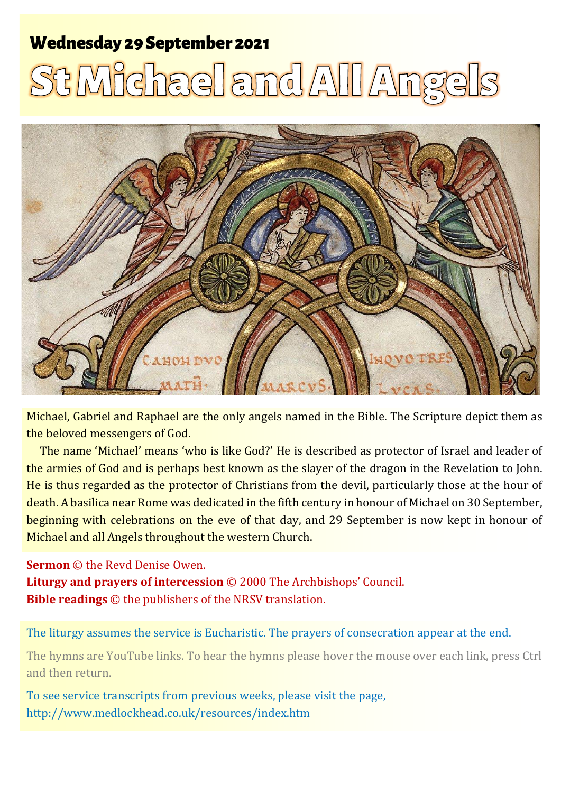# **Wednesday 29 September 2021**

# **St Michael and All Ang**



Michael, Gabriel and Raphael are the only angels named in the Bible. The Scripture depict them as the beloved messengers of God.

The name 'Michael' means 'who is like God?' He is described as protector of Israel and leader of the armies of God and is perhaps best known as the slayer of the dragon in the Revelation to John. He is thus regarded as the protector of Christians from the devil, particularly those at the hour of death. A basilica near Rome was dedicated in the fifth century in honour of Michael on 30 September, beginning with celebrations on the eve of that day, and 29 September is now kept in honour of Michael and all Angels throughout the western Church.

#### **Sermon** © the Revd Denise Owen.

**Liturgy and prayers of intercession** © 2000 The Archbishops' Council. **Bible readings** © the publishers of the NRSV translation.

The liturgy assumes the service is Eucharistic. The prayers of consecration appear at the end.

The hymns are YouTube links. To hear the hymns please hover the mouse over each link, press Ctrl and then return.

To see service transcripts from previous weeks, please visit the page, <http://www.medlockhead.co.uk/resources/index.htm>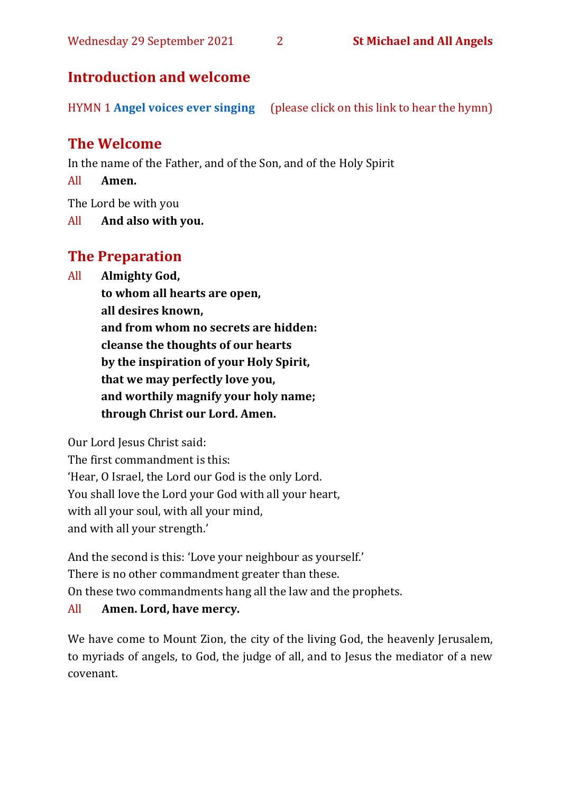# **Introduction and welcome**

HYMN 1 **[Angel voices ever singing](https://www.youtube.com/watch?v=nig-VqlyGzA)** (please click on this link to hear the hymn)

# **The Welcome**

In the name of the Father, and of the Son, and of the Holy Spirit

All **Amen.**

The Lord be with you

All **And also with you.**

# **The Preparation**

All **Almighty God,**

**to whom all hearts are open, all desires known, and from whom no secrets are hidden: cleanse the thoughts of our hearts by the inspiration of your Holy Spirit, that we may perfectly love you, and worthily magnify your holy name; through Christ our Lord. Amen.**

Our Lord Jesus Christ said:

The first commandment is this: 'Hear, O Israel, the Lord our God is the only Lord. You shall love the Lord your God with all your heart, with all your soul, with all your mind, and with all your strength.'

And the second is this: 'Love your neighbour as yourself.' There is no other commandment greater than these. On these two commandments hang all the law and the prophets.

# All **Amen. Lord, have mercy.**

We have come to Mount Zion, the city of the living God, the heavenly Jerusalem, to myriads of angels, to God, the judge of all, and to Jesus the mediator of a new covenant.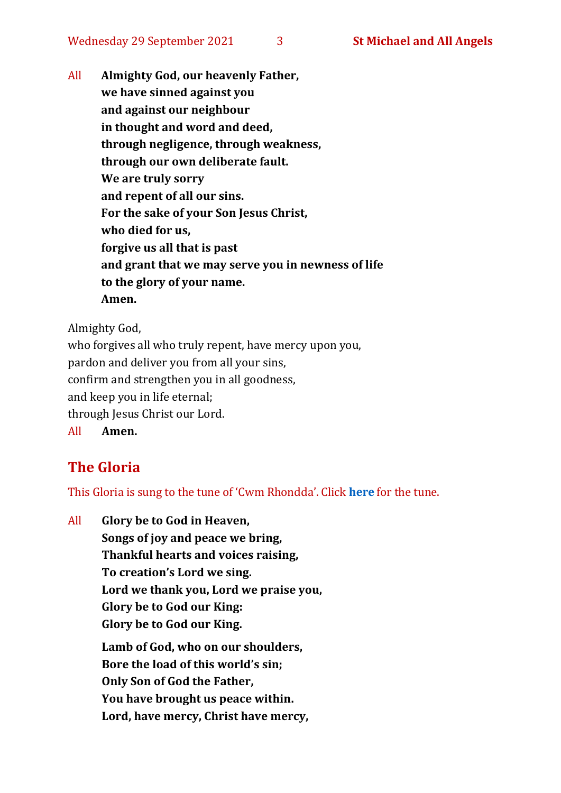All **Almighty God, our heavenly Father, we have sinned against you and against our neighbour in thought and word and deed, through negligence, through weakness, through our own deliberate fault. We are truly sorry and repent of all our sins. For the sake of your Son Jesus Christ, who died for us, forgive us all that is past and grant that we may serve you in newness of life to the glory of your name. Amen.**

Almighty God,

who forgives all who truly repent, have mercy upon you, pardon and deliver you from all your sins, confirm and strengthen you in all goodness, and keep you in life eternal; through Jesus Christ our Lord. All **Amen.**

# **The Gloria**

This Gloria is sung to the tune of 'Cwm Rhondda'. Click **[here](https://www.youtube.com/watch?v=l71MLQ22dIk)** for the tune.

All **Glory be to God in Heaven, Songs of joy and peace we bring, Thankful hearts and voices raising, To creation's Lord we sing. Lord we thank you, Lord we praise you, Glory be to God our King: Glory be to God our King. Lamb of God, who on our shoulders, Bore the load of this world's sin; Only Son of God the Father, You have brought us peace within. Lord, have mercy, Christ have mercy,**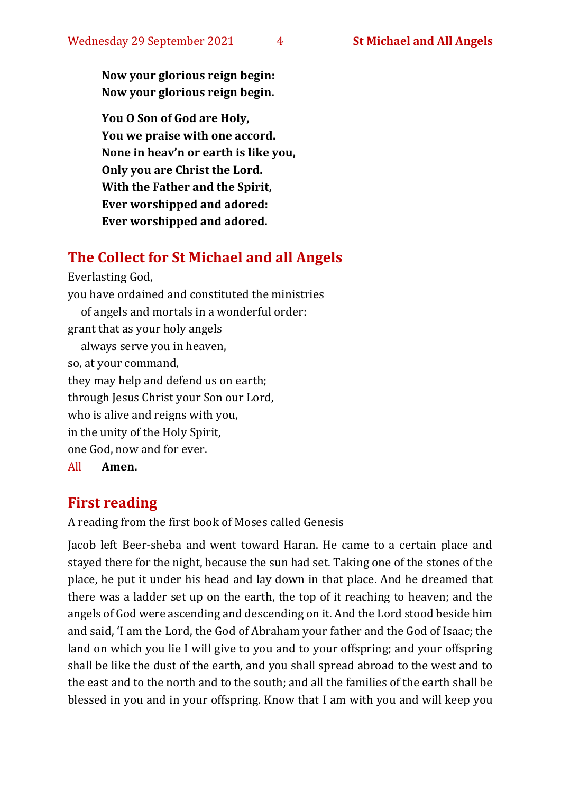**Now your glorious reign begin: Now your glorious reign begin.**

**You O Son of God are Holy, You we praise with one accord. None in heav'n or earth is like you, Only you are Christ the Lord. With the Father and the Spirit, Ever worshipped and adored: Ever worshipped and adored.**

# **The Collect for St Michael and all Angels**

Everlasting God,

you have ordained and constituted the ministries of angels and mortals in a wonderful order: grant that as your holy angels always serve you in heaven, so, at your command, they may help and defend us on earth; through Jesus Christ your Son our Lord, who is alive and reigns with you, in the unity of the Holy Spirit, one God, now and for ever.

All **Amen.**

# **First reading**

A reading from the first book of Moses called Genesis

Jacob left Beer-sheba and went toward Haran. He came to a certain place and stayed there for the night, because the sun had set. Taking one of the stones of the place, he put it under his head and lay down in that place. And he dreamed that there was a ladder set up on the earth, the top of it reaching to heaven; and the angels of God were ascending and descending on it. And the Lord stood beside him and said, 'I am the Lord, the God of Abraham your father and the God of Isaac; the land on which you lie I will give to you and to your offspring; and your offspring shall be like the dust of the earth, and you shall spread abroad to the west and to the east and to the north and to the south; and all the families of the earth shall be blessed in you and in your offspring. Know that I am with you and will keep you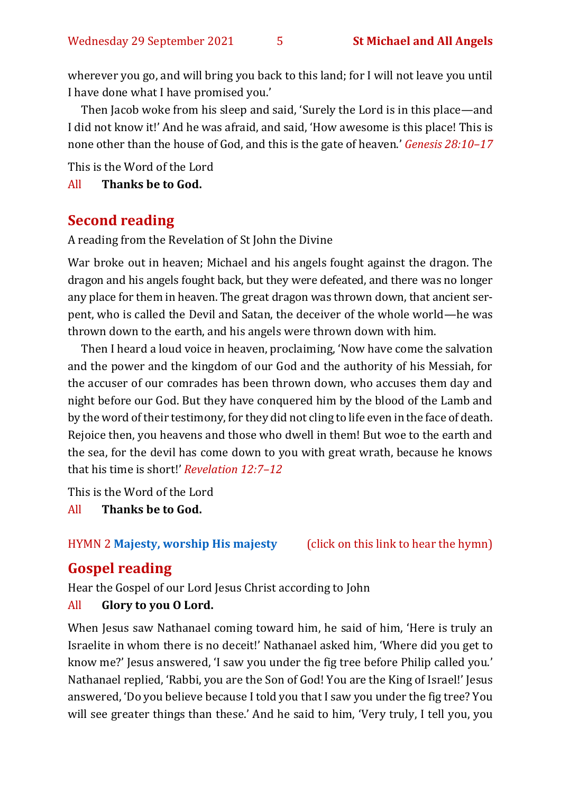wherever you go, and will bring you back to this land; for I will not leave you until I have done what I have promised you.'

Then Jacob woke from his sleep and said, 'Surely the Lord is in this place—and I did not know it!' And he was afraid, and said, 'How awesome is this place! This is none other than the house of God, and this is the gate of heaven.' *Genesis 28:10–17*

This is the Word of the Lord

All **Thanks be to God.**

#### **Second reading**

A reading from the Revelation of St John the Divine

War broke out in heaven; Michael and his angels fought against the dragon. The dragon and his angels fought back, but they were defeated, and there was no longer any place for them in heaven. The great dragon was thrown down, that ancient serpent, who is called the Devil and Satan, the deceiver of the whole world—he was thrown down to the earth, and his angels were thrown down with him.

Then I heard a loud voice in heaven, proclaiming, 'Now have come the salvation and the power and the kingdom of our God and the authority of his Messiah, for the accuser of our comrades has been thrown down, who accuses them day and night before our God. But they have conquered him by the blood of the Lamb and by the word of their testimony, for they did not cling to life even in the face of death. Rejoice then, you heavens and those who dwell in them! But woe to the earth and the sea, for the devil has come down to you with great wrath, because he knows that his time is short!' *Revelation 12:7–12*

This is the Word of the Lord

All **Thanks be to God.**

#### HYMN 2 **[Majesty, worship His majesty](https://www.youtube.com/watch?v=BcbCAq_A7to)** (click on this link to hear the hymn)

# **Gospel reading**

Hear the Gospel of our Lord Jesus Christ according to John

#### All **Glory to you O Lord.**

When Jesus saw Nathanael coming toward him, he said of him, 'Here is truly an Israelite in whom there is no deceit!' Nathanael asked him, 'Where did you get to know me?' Jesus answered, 'I saw you under the fig tree before Philip called you.' Nathanael replied, 'Rabbi, you are the Son of God! You are the King of Israel!' Jesus answered, 'Do you believe because I told you that I saw you under the fig tree? You will see greater things than these.' And he said to him, 'Very truly, I tell you, you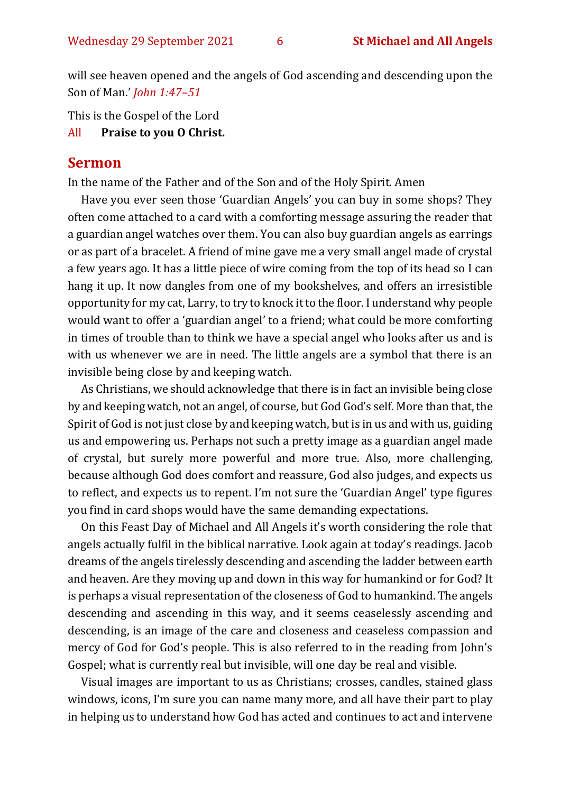will see heaven opened and the angels of God ascending and descending upon the Son of Man.' *John 1:47–51*

This is the Gospel of the Lord

All **Praise to you O Christ.** 

#### **Sermon**

In the name of the Father and of the Son and of the Holy Spirit. Amen

Have you ever seen those 'Guardian Angels' you can buy in some shops? They often come attached to a card with a comforting message assuring the reader that a guardian angel watches over them. You can also buy guardian angels as earrings or as part of a bracelet. A friend of mine gave me a very small angel made of crystal a few years ago. It has a little piece of wire coming from the top of its head so I can hang it up. It now dangles from one of my bookshelves, and offers an irresistible opportunity for my cat, Larry, to try to knock it to the floor. I understand why people would want to offer a 'guardian angel' to a friend; what could be more comforting in times of trouble than to think we have a special angel who looks after us and is with us whenever we are in need. The little angels are a symbol that there is an invisible being close by and keeping watch.

As Christians, we should acknowledge that there is in fact an invisible being close by and keeping watch, not an angel, of course, but God God's self. More than that, the Spirit of God is not just close by and keeping watch, but is in us and with us, guiding us and empowering us. Perhaps not such a pretty image as a guardian angel made of crystal, but surely more powerful and more true. Also, more challenging, because although God does comfort and reassure, God also judges, and expects us to reflect, and expects us to repent. I'm not sure the 'Guardian Angel' type figures you find in card shops would have the same demanding expectations.

On this Feast Day of Michael and All Angels it's worth considering the role that angels actually fulfil in the biblical narrative. Look again at today's readings. Jacob dreams of the angels tirelessly descending and ascending the ladder between earth and heaven. Are they moving up and down in this way for humankind or for God? It is perhaps a visual representation of the closeness of God to humankind. The angels descending and ascending in this way, and it seems ceaselessly ascending and descending, is an image of the care and closeness and ceaseless compassion and mercy of God for God's people. This is also referred to in the reading from John's Gospel; what is currently real but invisible, will one day be real and visible.

Visual images are important to us as Christians; crosses, candles, stained glass windows, icons, I'm sure you can name many more, and all have their part to play in helping us to understand how God has acted and continues to act and intervene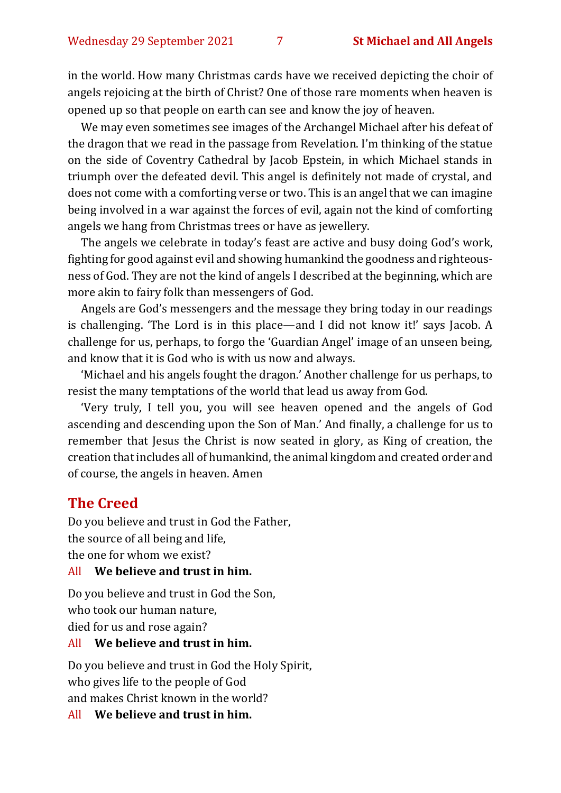in the world. How many Christmas cards have we received depicting the choir of angels rejoicing at the birth of Christ? One of those rare moments when heaven is opened up so that people on earth can see and know the joy of heaven.

We may even sometimes see images of the Archangel Michael after his defeat of the dragon that we read in the passage from Revelation. I'm thinking of the statue on the side of Coventry Cathedral by Jacob Epstein, in which Michael stands in triumph over the defeated devil. This angel is definitely not made of crystal, and does not come with a comforting verse or two. This is an angel that we can imagine being involved in a war against the forces of evil, again not the kind of comforting angels we hang from Christmas trees or have as jewellery.

The angels we celebrate in today's feast are active and busy doing God's work, fighting for good against evil and showing humankind the goodness and righteousness of God. They are not the kind of angels I described at the beginning, which are more akin to fairy folk than messengers of God.

Angels are God's messengers and the message they bring today in our readings is challenging. 'The Lord is in this place—and I did not know it!' says Jacob. A challenge for us, perhaps, to forgo the 'Guardian Angel' image of an unseen being, and know that it is God who is with us now and always.

'Michael and his angels fought the dragon.' Another challenge for us perhaps, to resist the many temptations of the world that lead us away from God.

'Very truly, I tell you, you will see heaven opened and the angels of God ascending and descending upon the Son of Man.' And finally, a challenge for us to remember that Jesus the Christ is now seated in glory, as King of creation, the creation that includes all of humankind, the animal kingdom and created order and of course, the angels in heaven. Amen

#### **The Creed**

Do you believe and trust in God the Father, the source of all being and life, the one for whom we exist?

#### All **We believe and trust in him.**

Do you believe and trust in God the Son, who took our human nature, died for us and rose again?

#### All **We believe and trust in him.**

Do you believe and trust in God the Holy Spirit, who gives life to the people of God and makes Christ known in the world?

All **We believe and trust in him.**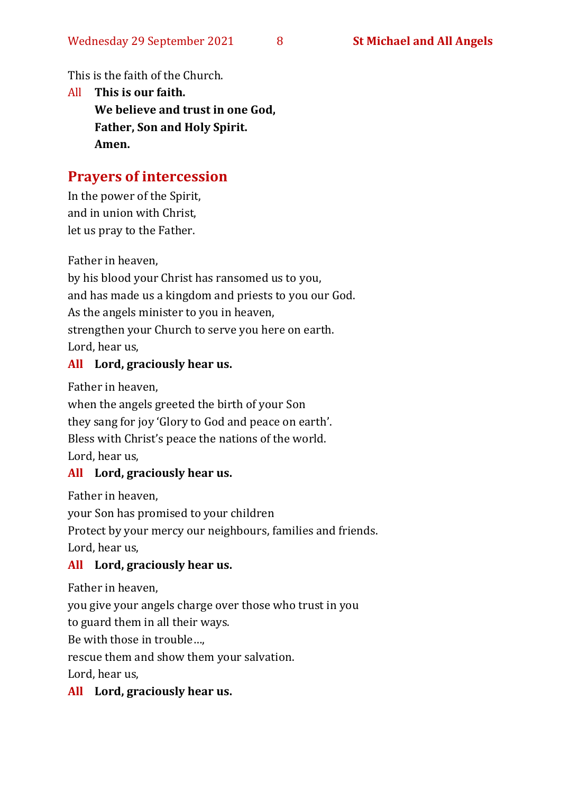This is the faith of the Church.

All **This is our faith. We believe and trust in one God, Father, Son and Holy Spirit. Amen.**

# **Prayers of intercession**

In the power of the Spirit, and in union with Christ, let us pray to the Father.

Father in heaven,

by his blood your Christ has ransomed us to you, and has made us a kingdom and priests to you our God. As the angels minister to you in heaven, strengthen your Church to serve you here on earth. Lord, hear us,

#### **All Lord, graciously hear us.**

Father in heaven,

when the angels greeted the birth of your Son they sang for joy 'Glory to God and peace on earth'. Bless with Christ's peace the nations of the world. Lord, hear us,

#### **All Lord, graciously hear us.**

Father in heaven,

your Son has promised to your children

Protect by your mercy our neighbours, families and friends.

Lord, hear us,

# **All Lord, graciously hear us.**

Father in heaven,

you give your angels charge over those who trust in you

to guard them in all their ways.

Be with those in trouble…,

rescue them and show them your salvation.

Lord, hear us,

# **All Lord, graciously hear us.**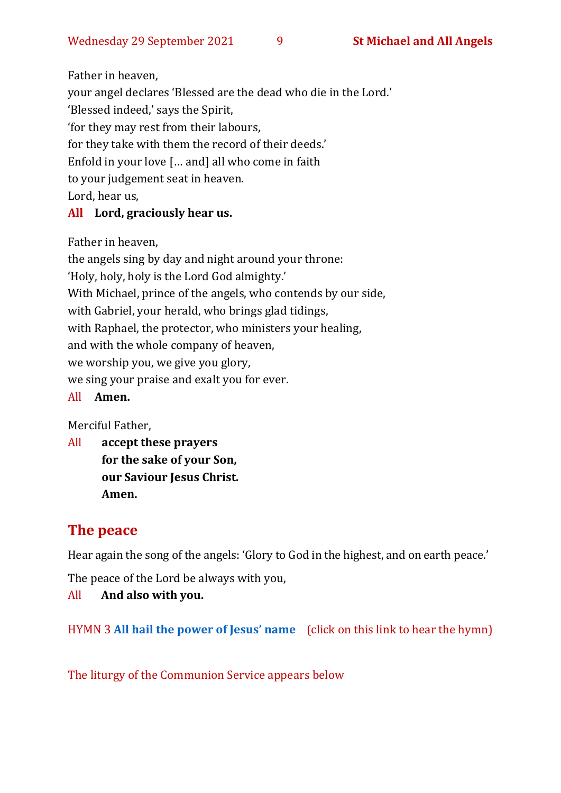Father in heaven,

your angel declares 'Blessed are the dead who die in the Lord.'

'Blessed indeed,' says the Spirit,

'for they may rest from their labours,

for they take with them the record of their deeds.'

Enfold in your love [… and] all who come in faith

to your judgement seat in heaven.

Lord, hear us,

# **All Lord, graciously hear us.**

Father in heaven,

the angels sing by day and night around your throne: 'Holy, holy, holy is the Lord God almighty.' With Michael, prince of the angels, who contends by our side, with Gabriel, your herald, who brings glad tidings, with Raphael, the protector, who ministers your healing, and with the whole company of heaven, we worship you, we give you glory, we sing your praise and exalt you for ever.

All **Amen.**

Merciful Father,

All **accept these prayers for the sake of your Son, our Saviour Jesus Christ. Amen.**

# **The peace**

Hear again the song of the angels: 'Glory to God in the highest, and on earth peace.'

The peace of the Lord be always with you,

All **And also with you.**

HYMN 3 **[All hail the power of Jesus' name](https://www.youtube.com/watch?v=5WVSyGBBfi8)** (click on this link to hear the hymn)

The liturgy of the Communion Service appears below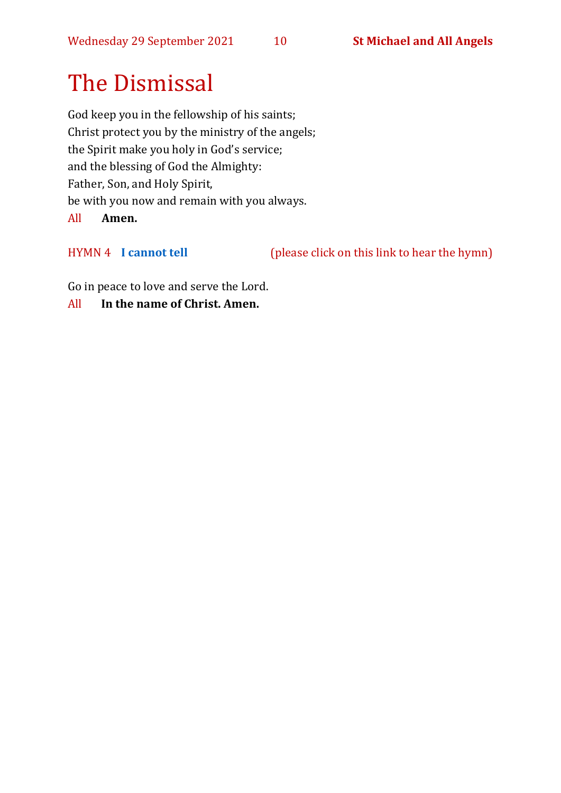# The Dismissal

God keep you in the fellowship of his saints; Christ protect you by the ministry of the angels; the Spirit make you holy in God's service; and the blessing of God the Almighty: Father, Son, and Holy Spirit, be with you now and remain with you always. All **Amen.**

HYMN 4 **[I cannot tell](https://www.youtube.com/watch?v=62wk5KvI7-w)** (please click on this link to hear the hymn)

Go in peace to love and serve the Lord.

All **In the name of Christ. Amen.**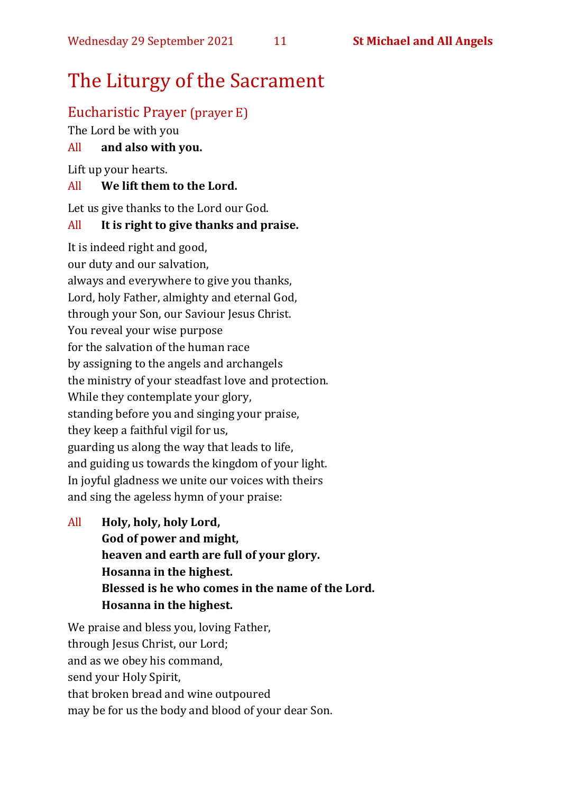# The Liturgy of the Sacrament

### Eucharistic Prayer (prayer E)

The Lord be with you

#### All **and also with you.**

Lift up your hearts.

#### All **We lift them to the Lord.**

Let us give thanks to the Lord our God.

#### All **It is right to give thanks and praise.**

It is indeed right and good, our duty and our salvation, always and everywhere to give you thanks, Lord, holy Father, almighty and eternal God, through your Son, our Saviour Jesus Christ. You reveal your wise purpose for the salvation of the human race by assigning to the angels and archangels the ministry of your steadfast love and protection. While they contemplate your glory, standing before you and singing your praise, they keep a faithful vigil for us, guarding us along the way that leads to life, and guiding us towards the kingdom of your light. In joyful gladness we unite our voices with theirs and sing the ageless hymn of your praise:

All **Holy, holy, holy Lord, God of power and might, heaven and earth are full of your glory. Hosanna in the highest. Blessed is he who comes in the name of the Lord. Hosanna in the highest.**

We praise and bless you, loving Father, through Jesus Christ, our Lord; and as we obey his command, send your Holy Spirit, that broken bread and wine outpoured may be for us the body and blood of your dear Son.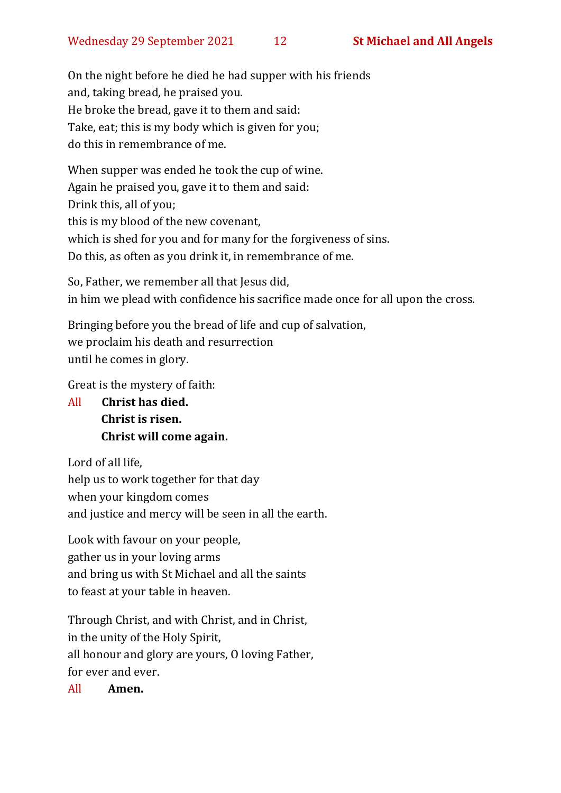On the night before he died he had supper with his friends and, taking bread, he praised you. He broke the bread, gave it to them and said: Take, eat; this is my body which is given for you; do this in remembrance of me.

When supper was ended he took the cup of wine. Again he praised you, gave it to them and said: Drink this, all of you; this is my blood of the new covenant, which is shed for you and for many for the forgiveness of sins. Do this, as often as you drink it, in remembrance of me.

So, Father, we remember all that Jesus did, in him we plead with confidence his sacrifice made once for all upon the cross.

Bringing before you the bread of life and cup of salvation, we proclaim his death and resurrection until he comes in glory.

Great is the mystery of faith:

All **Christ has died. Christ is risen. Christ will come again.**

Lord of all life, help us to work together for that day when your kingdom comes and justice and mercy will be seen in all the earth.

Look with favour on your people, gather us in your loving arms and bring us with St Michael and all the saints to feast at your table in heaven.

Through Christ, and with Christ, and in Christ, in the unity of the Holy Spirit, all honour and glory are yours, O loving Father, for ever and ever.

All **Amen.**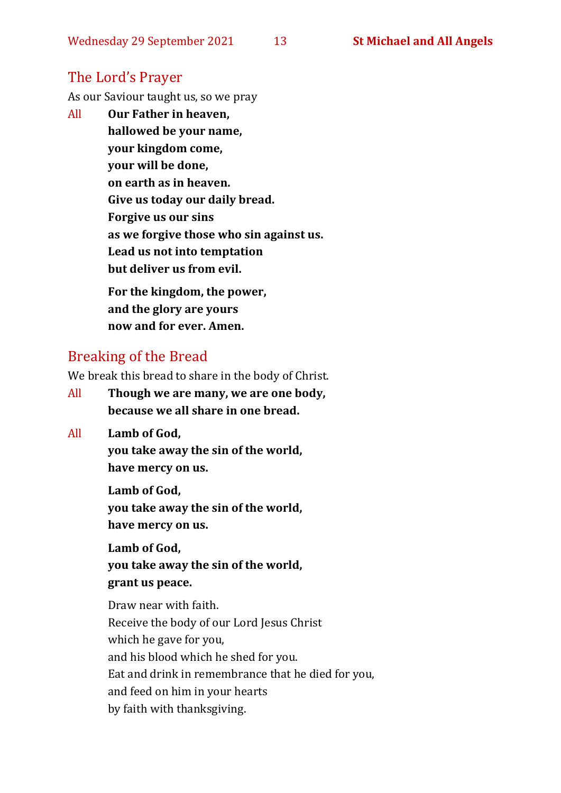# The Lord's Prayer

As our Saviour taught us, so we pray

All **Our Father in heaven, hallowed be your name, your kingdom come, your will be done, on earth as in heaven. Give us today our daily bread. Forgive us our sins as we forgive those who sin against us. Lead us not into temptation but deliver us from evil. For the kingdom, the power,** 

**and the glory are yours now and for ever. Amen.**

# Breaking of the Bread

We break this bread to share in the body of Christ.

- All **Though we are many, we are one body, because we all share in one bread.**
- All **Lamb of God,**

**you take away the sin of the world, have mercy on us.**

**Lamb of God, you take away the sin of the world, have mercy on us.**

**Lamb of God, you take away the sin of the world, grant us peace.**

Draw near with faith. Receive the body of our Lord Jesus Christ which he gave for you, and his blood which he shed for you. Eat and drink in remembrance that he died for you, and feed on him in your hearts by faith with thanksgiving.